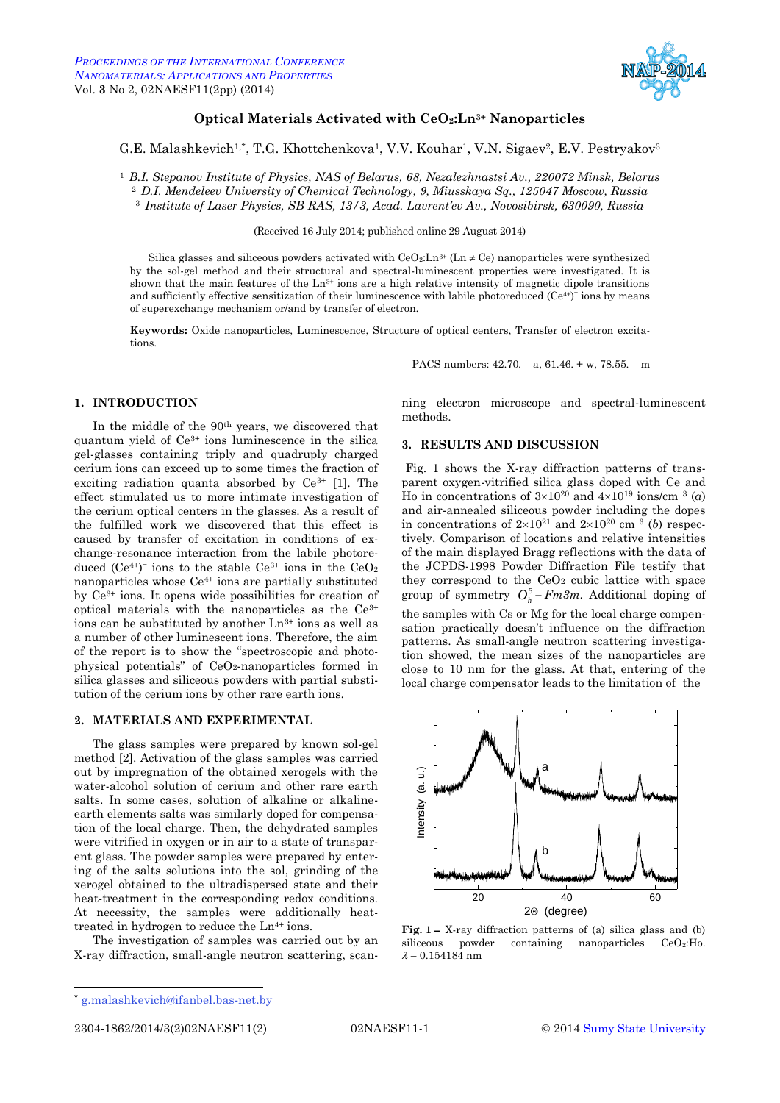

# <span id="page-0-3"></span><span id="page-0-0"></span>**Optical Materials Activated with CeO2:Ln3+ Nanoparticles**

# <span id="page-0-2"></span><span id="page-0-1"></span>G.E. Malashkevich<sup>1,\*</sup>, T.G. Khottchenkova<sup>1</sup>, V.V. Kouhar<sup>1</sup>, V.N. Sigaev<sup>2</sup>, E.V. Pestryakov<sup>3</sup>

<sup>1</sup> *B.I. Stepanov Institute of Physics, NAS of Belarus, 68, Nezalezhnastsi Av., 220072 Minsk, Belarus* <sup>2</sup> *D.I. Mendeleev University of Chemical Technology, 9, Miusskaya Sq., 125047 Moscow, Russia* <sup>3</sup> *Institute of Laser Physics, SB RAS, 13/3, Acad. Lavrent'ev Av., Novosibirsk, 630090, Russia*

(Received 16 July 2014; published online 29 August 2014)

Silica glasses and siliceous powders activated with  $CeO<sub>2</sub>:Ln<sup>3+</sup>$  (Ln  $\neq$  Ce) nanoparticles were synthesized by the sol-gel method and their structural and spectral-luminescent properties were investigated. It is shown that the main features of the  $Ln<sup>3+</sup>$  ions are a high relative intensity of magnetic dipole transitions and sufficiently effective sensitization of their luminescence with labile photoreduced (Ce<sup>4+)-</sup> ions by means of superexchange mechanism or/and by transfer of electron.

**Keywords:** Oxide nanoparticles, Luminescence, Structure of optical centers, Transfer of electron excitations.

PACS numbers: 42.70. – a, 61.46. + w, 78.55. – m

### **1. INTRODUCTION**

In the middle of the 90<sup>th</sup> years, we discovered that quantum yield of Ce3+ ions luminescence in the silica gel-glasses containing triply and quadruply charged cerium ions can exceed up to some times the fraction of exciting radiation quanta absorbed by  $Ce^{3+}$  [1]. The effect stimulated us to more intimate investigation of the cerium optical centers in the glasses. As a result of the fulfilled work we discovered that this effect is caused by transfer of excitation in conditions of exchange-resonance interaction from the labile photoreduced  $(Ce^{4})$  ions to the stable  $Ce^{3+}$  ions in the  $CeO_2$ nanoparticles whose Ce4+ ions are partially substituted by Ce3+ ions. It opens wide possibilities for creation of optical materials with the nanoparticles as the Ce3+ ions can be substituted by another Ln3+ ions as well as a number of other luminescent ions. Therefore, the aim of the report is to show the "spectroscopic and photophysical potentials" of  $CeO<sub>2</sub>$ -nanoparticles formed in silica glasses and siliceous powders with partial substitution of the cerium ions by other rare earth ions.

# **2. MATERIALS AND EXPERIMENTAL**

The glass samples were prepared by known sol-gel method [2]. Activation of the glass samples was carried out by impregnation of the obtained xerogels with the water-alcohol solution of cerium and other rare earth salts. In some cases, solution of alkaline or alkalineearth elements salts was similarly doped for compensation of the local charge. Then, the dehydrated samples were vitrified in oxygen or in air to a state of transparent glass. The powder samples were prepared by entering of the salts solutions into the sol, grinding of the xerogel obtained to the ultradispersed state and their heat-treatment in the corresponding redox conditions. At necessity, the samples were additionally heattreated in hydrogen to reduce the  $Ln^{4+}$  ions.

The investigation of samples was carried out by an X-ray diffraction, small-angle neutron scattering, scanning electron microscope and spectral-luminescent methods.

# **3. RESULTS AND DISCUSSION**

Fig. 1 shows the X-ray diffraction patterns of transparent oxygen-vitrified silica glass doped with Ce and Ho in concentrations of  $3\times10^{20}$  and  $4\times10^{19}$  ions/cm<sup>-3</sup> (*a*) and air-annealed siliceous powder including the dopes in concentrations of  $2\times10^{21}$  and  $2\times10^{20}$  cm<sup>-3</sup> (*b*) respectively. Comparison of locations and relative intensities of the main displayed Bragg reflections with the data of the JCPDS-1998 Powder Diffraction File testify that they correspond to the  $CeO<sub>2</sub>$  cubic lattice with space group of symmetry  $O_h^5 - Fm3m$ . Additional doping of the samples with Cs or Mg for the local charge compensation practically doesn't influence on the diffraction patterns. As small-angle neutron scattering investigation showed, the mean sizes of the nanoparticles are close to 10 nm for the glass. At that, entering of the local charge compensator leads to the limitation of the



**Fig.** 1 – X-ray diffraction patterns of (a) silica glass and (b) siliceous powder containing nanoparticles CeO<sub>2</sub>:Ho.  $\lambda = 0.154184$  nm

 $\overline{a}$ 

2304-1862[/2014/](#page-0-0)[3\(](#page-0-1)[2\)](#page-0-2)[02NAESF11\(](#page-0-3)2) [02NAESF11-](#page-0-3)1 © [2014](#page-0-0) [Sumy State University](http://sumdu.edu.ua/)

<sup>\*</sup> g.malashkevich@ifanbel.bas-net.by